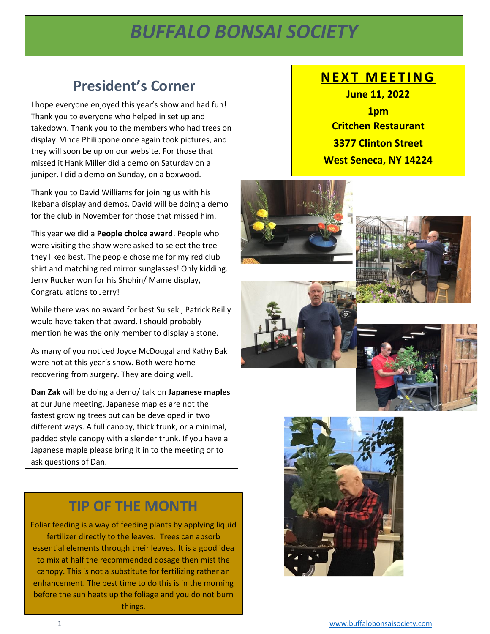# *BUFFALO BONSAI SOCIETY*

*February 2022*

## **President's Corner**

I hope everyone enjoyed this year's show and had fun! Thank you to everyone who helped in set up and takedown. Thank you to the members who had trees on display. Vince Philippone once again took pictures, and they will soon be up on our website. For those that missed it Hank Miller did a demo on Saturday on a juniper. I did a demo on Sunday, on a boxwood.

Thank you to David Williams for joining us with his Ikebana display and demos. David will be doing a demo for the club in November for those that missed him.

This year we did a **People choice award**. People who were visiting the show were asked to select the tree they liked best. The people chose me for my red club shirt and matching red mirror sunglasses! Only kidding. Jerry Rucker won for his Shohin/ Mame display, Congratulations to Jerry!

While there was no award for best Suiseki, Patrick Reilly would have taken that award. I should probably mention he was the only member to display a stone.

As many of you noticed Joyce McDougal and Kathy Bak were not at this year's show. Both were home recovering from surgery. They are doing well.

**Dan Zak** will be doing a demo/ talk on **Japanese maples** at our June meeting. Japanese maples are not the fastest growing trees but can be developed in two different ways. A full canopy, thick trunk, or a minimal, padded style canopy with a slender trunk. If you have a Japanese maple please bring it in to the meeting or to ask questions of Dan.

### **TIP OF THE MONTH**

Foliar feeding is a way of feeding plants by applying liquid [fertilizer](https://en.wikipedia.org/wiki/Fertilizer) directly to the [leaves.](https://en.wikipedia.org/wiki/Leaf) Trees can absorb essential elements through their leaves. It is a good idea to mix at half the recommended dosage then mist the canopy. This is not a substitute for fertilizing rather an enhancement. The best time to do this is in the morning before the sun heats up the foliage and you do not burn things.

### **N E X T M E E T I N G**

**June 11, 2022 1pm Critchen Restaurant 3377 Clinton Street West Seneca, NY 14224**